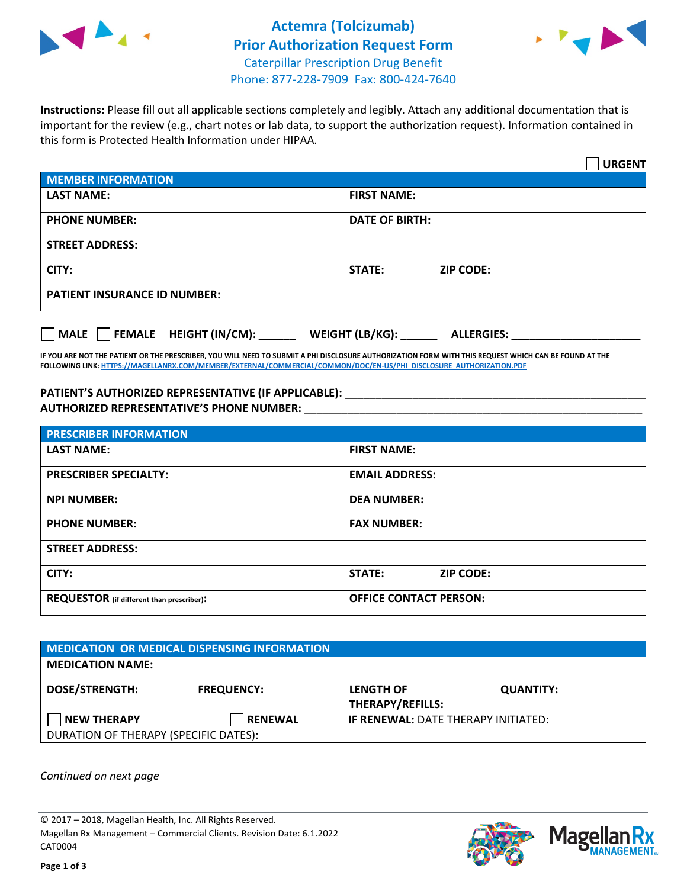



**Instructions:** Please fill out all applicable sections completely and legibly. Attach any additional documentation that is important for the review (e.g., chart notes or lab data, to support the authorization request). Information contained in this form is Protected Health Information under HIPAA.

|                                       | <b>URGENT</b>                        |  |
|---------------------------------------|--------------------------------------|--|
| <b>MEMBER INFORMATION</b>             |                                      |  |
| <b>LAST NAME:</b>                     | <b>FIRST NAME:</b>                   |  |
| <b>PHONE NUMBER:</b>                  | <b>DATE OF BIRTH:</b>                |  |
| <b>STREET ADDRESS:</b>                |                                      |  |
| CITY:                                 | <b>STATE:</b><br><b>ZIP CODE:</b>    |  |
| <b>PATIENT INSURANCE ID NUMBER:</b>   |                                      |  |
| FEMALE HEIGHT (IN/CM):<br><b>MALE</b> | WEIGHT (LB/KG):<br><b>ALLERGIES:</b> |  |

**IF YOU ARE NOT THE PATIENT OR THE PRESCRIBER, YOU WILL NEED TO SUBMIT A PHI DISCLOSURE AUTHORIZATION FORM WITH THIS REQUEST WHICH CAN BE FOUND AT THE FOLLOWING LINK[: HTTPS://MAGELLANRX.COM/MEMBER/EXTERNAL/COMMERCIAL/COMMON/DOC/EN-US/PHI\\_DISCLOSURE\\_AUTHORIZATION.PDF](https://magellanrx.com/member/external/commercial/common/doc/en-us/PHI_Disclosure_Authorization.pdf)**

PATIENT'S AUTHORIZED REPRESENTATIVE (IF APPLICABLE): \_\_\_\_\_\_\_\_\_\_\_\_\_\_\_\_\_\_\_\_\_\_\_\_\_\_\_ **AUTHORIZED REPRESENTATIVE'S PHONE NUMBER:** \_\_\_\_\_\_\_\_\_\_\_\_\_\_\_\_\_\_\_\_\_\_\_\_\_\_\_\_\_\_\_\_\_\_\_\_\_\_\_\_\_\_\_\_\_\_\_\_\_\_\_\_\_\_\_

| <b>PRESCRIBER INFORMATION</b>             |                               |  |
|-------------------------------------------|-------------------------------|--|
| <b>LAST NAME:</b>                         | <b>FIRST NAME:</b>            |  |
| <b>PRESCRIBER SPECIALTY:</b>              | <b>EMAIL ADDRESS:</b>         |  |
| <b>NPI NUMBER:</b>                        | <b>DEA NUMBER:</b>            |  |
| <b>PHONE NUMBER:</b>                      | <b>FAX NUMBER:</b>            |  |
| <b>STREET ADDRESS:</b>                    |                               |  |
| CITY:                                     | STATE:<br><b>ZIP CODE:</b>    |  |
| REQUESTOR (if different than prescriber): | <b>OFFICE CONTACT PERSON:</b> |  |

| <b>MEDICATION OR MEDICAL DISPENSING INFORMATION</b> |                   |                                            |                  |  |  |
|-----------------------------------------------------|-------------------|--------------------------------------------|------------------|--|--|
| <b>MEDICATION NAME:</b>                             |                   |                                            |                  |  |  |
| <b>DOSE/STRENGTH:</b>                               | <b>FREQUENCY:</b> | <b>LENGTH OF</b><br>THERAPY/REFILLS:       | <b>QUANTITY:</b> |  |  |
| <b>NEW THERAPY</b>                                  | <b>RENEWAL</b>    | <b>IF RENEWAL: DATE THERAPY INITIATED:</b> |                  |  |  |
| DURATION OF THERAPY (SPECIFIC DATES):               |                   |                                            |                  |  |  |

*Continued on next page*

© 2017 – 2018, Magellan Health, Inc. All Rights Reserved. Magellan Rx Management – Commercial Clients. Revision Date: 6.1.2022 CAT0004



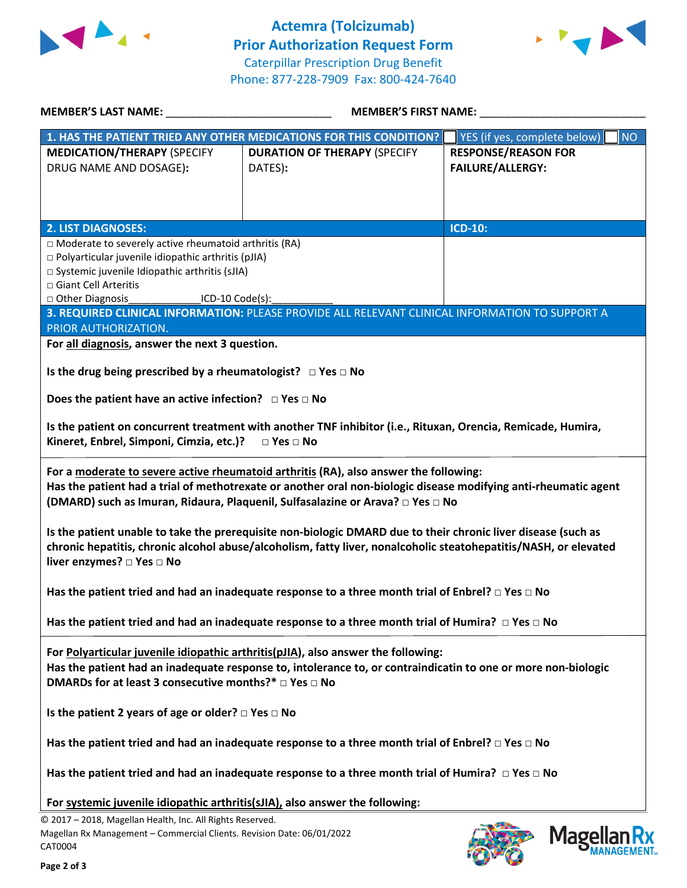



| MEMBER'S LAST NAME: NAME:<br>MEMBER'S FIRST NAME:                                 |                                                                                                                                                                                                                                                                                            |                                           |  |
|-----------------------------------------------------------------------------------|--------------------------------------------------------------------------------------------------------------------------------------------------------------------------------------------------------------------------------------------------------------------------------------------|-------------------------------------------|--|
|                                                                                   | 1. HAS THE PATIENT TRIED ANY OTHER MEDICATIONS FOR THIS CONDITION?                                                                                                                                                                                                                         | YES (if yes, complete below)<br><b>NO</b> |  |
| <b>MEDICATION/THERAPY (SPECIFY</b>                                                | <b>DURATION OF THERAPY (SPECIFY</b>                                                                                                                                                                                                                                                        | <b>RESPONSE/REASON FOR</b>                |  |
| DRUG NAME AND DOSAGE):                                                            | DATES):                                                                                                                                                                                                                                                                                    | <b>FAILURE/ALLERGY:</b>                   |  |
|                                                                                   |                                                                                                                                                                                                                                                                                            |                                           |  |
|                                                                                   |                                                                                                                                                                                                                                                                                            |                                           |  |
| <b>2. LIST DIAGNOSES:</b>                                                         |                                                                                                                                                                                                                                                                                            | <b>ICD-10:</b>                            |  |
| $\Box$ Moderate to severely active rheumatoid arthritis (RA)                      |                                                                                                                                                                                                                                                                                            |                                           |  |
| □ Polyarticular juvenile idiopathic arthritis (pJIA)                              |                                                                                                                                                                                                                                                                                            |                                           |  |
| □ Systemic juvenile Idiopathic arthritis (sJIA)                                   |                                                                                                                                                                                                                                                                                            |                                           |  |
| □ Giant Cell Arteritis                                                            |                                                                                                                                                                                                                                                                                            |                                           |  |
| □ Other Diagnosis_________________ICD-10 Code(s):                                 | 3. REQUIRED CLINICAL INFORMATION: PLEASE PROVIDE ALL RELEVANT CLINICAL INFORMATION TO SUPPORT A                                                                                                                                                                                            |                                           |  |
| PRIOR AUTHORIZATION.                                                              |                                                                                                                                                                                                                                                                                            |                                           |  |
| For all diagnosis, answer the next 3 question.                                    |                                                                                                                                                                                                                                                                                            |                                           |  |
|                                                                                   |                                                                                                                                                                                                                                                                                            |                                           |  |
| Is the drug being prescribed by a rheumatologist? $\Box$ Yes $\Box$ No            |                                                                                                                                                                                                                                                                                            |                                           |  |
|                                                                                   |                                                                                                                                                                                                                                                                                            |                                           |  |
| Does the patient have an active infection? $\Box$ Yes $\Box$ No                   |                                                                                                                                                                                                                                                                                            |                                           |  |
| Kineret, Enbrel, Simponi, Cimzia, etc.)? □ Yes □ No                               | Is the patient on concurrent treatment with another TNF inhibitor (i.e., Rituxan, Orencia, Remicade, Humira,                                                                                                                                                                               |                                           |  |
|                                                                                   | For a moderate to severe active rheumatoid arthritis (RA), also answer the following:<br>Has the patient had a trial of methotrexate or another oral non-biologic disease modifying anti-rheumatic agent<br>(DMARD) such as Imuran, Ridaura, Plaquenil, Sulfasalazine or Arava? □ Yes □ No |                                           |  |
| liver enzymes? □ Yes □ No                                                         | Is the patient unable to take the prerequisite non-biologic DMARD due to their chronic liver disease (such as<br>chronic hepatitis, chronic alcohol abuse/alcoholism, fatty liver, nonalcoholic steatohepatitis/NASH, or elevated                                                          |                                           |  |
|                                                                                   | Has the patient tried and had an inadequate response to a three month trial of Enbrel? $\Box$ Yes $\Box$ No                                                                                                                                                                                |                                           |  |
|                                                                                   | Has the patient tried and had an inadequate response to a three month trial of Humira? $\Box$ Yes $\Box$ No                                                                                                                                                                                |                                           |  |
| DMARDs for at least 3 consecutive months?* □ Yes □ No                             | For Polyarticular juvenile idiopathic arthritis(pJIA), also answer the following:<br>Has the patient had an inadequate response to, intolerance to, or contraindicatin to one or more non-biologic                                                                                         |                                           |  |
| Is the patient 2 years of age or older? $\square$ Yes $\square$ No                |                                                                                                                                                                                                                                                                                            |                                           |  |
|                                                                                   | Has the patient tried and had an inadequate response to a three month trial of Enbrel? $\Box$ Yes $\Box$ No                                                                                                                                                                                |                                           |  |
|                                                                                   | Has the patient tried and had an inadequate response to a three month trial of Humira? $\Box$ Yes $\Box$ No                                                                                                                                                                                |                                           |  |
| For systemic juvenile idiopathic arthritis(sJIA), also answer the following:      |                                                                                                                                                                                                                                                                                            |                                           |  |
| © 2017 - 2018, Magellan Health, Inc. All Rights Reserved.                         |                                                                                                                                                                                                                                                                                            |                                           |  |
| Magellan Rx Management - Commercial Clients. Revision Date: 06/01/2022<br>CAT0004 |                                                                                                                                                                                                                                                                                            | <b>Magell</b>                             |  |

**FEDERAL**